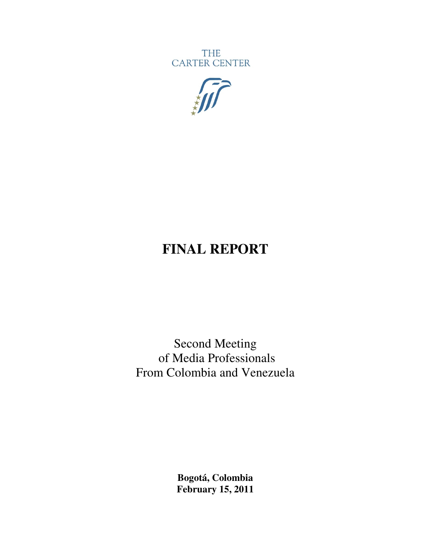**THE** CARTER CENTER



# **FINAL REPORT**

Second Meeting of Media Professionals From Colombia and Venezuela

> **Bogotá, Colombia February 15, 2011**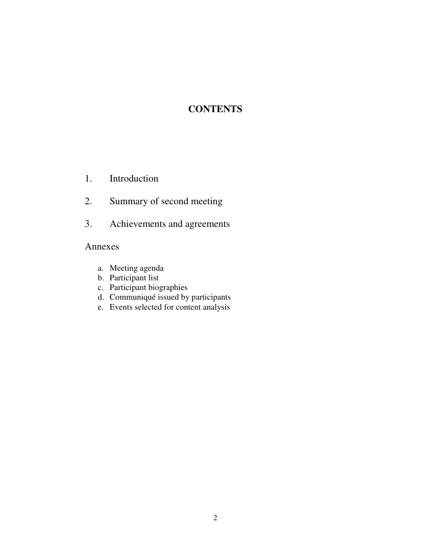## **CONTENTS**

- 1. Introduction
- 2. Summary of second meeting
- 3. Achievements and agreements

## Annexes

- a. Meeting agenda
- b. Participant list
- c. Participant biographies
- d. Communiqué issued by participants
- e. Events selected for content analysis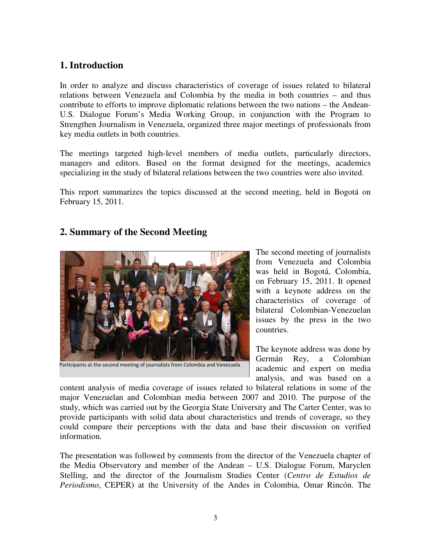## **1. Introduction**

In order to analyze and discuss characteristics of coverage of issues related to bilateral relations between Venezuela and Colombia by the media in both countries – and thus contribute to efforts to improve diplomatic relations between the two nations – the Andean-U.S. Dialogue Forum's Media Working Group, in conjunction with the Program to Strengthen Journalism in Venezuela, organized three major meetings of professionals from key media outlets in both countries.

The meetings targeted high-level members of media outlets, particularly directors, managers and editors. Based on the format designed for the meetings, academics specializing in the study of bilateral relations between the two countries were also invited.

This report summarizes the topics discussed at the second meeting, held in Bogotá on February 15, 2011.

## **2. Summary of the Second Meeting**



Participants at the second meeting of journalists from Colombia and Venezuela

The second meeting of journalists from Venezuela and Colombia was held in Bogotá, Colombia, on February 15, 2011. It opened with a keynote address on the characteristics of coverage of bilateral Colombian-Venezuelan issues by the press in the two countries.

The keynote address was done by Germán Rey, a Colombian academic and expert on media analysis, and was based on a

content analysis of media coverage of issues related to bilateral relations in some of the major Venezuelan and Colombian media between 2007 and 2010. The purpose of the study, which was carried out by the Georgia State University and The Carter Center, was to provide participants with solid data about characteristics and trends of coverage, so they could compare their perceptions with the data and base their discussion on verified information.

The presentation was followed by comments from the director of the Venezuela chapter of the Media Observatory and member of the Andean – U.S. Dialogue Forum, Maryclen Stelling, and the director of the Journalism Studies Center (*Centro de Estudios de Periodismo*, CEPER) at the University of the Andes in Colombia, Omar Rincón. The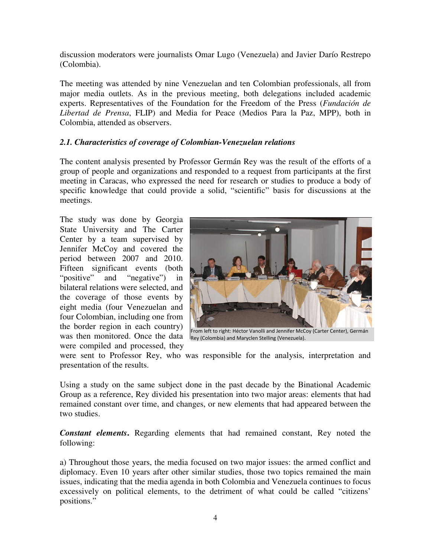discussion moderators were journalists Omar Lugo (Venezuela) and Javier Darío Restrepo (Colombia).

The meeting was attended by nine Venezuelan and ten Colombian professionals, all from major media outlets. As in the previous meeting, both delegations included academic experts. Representatives of the Foundation for the Freedom of the Press (*Fundación de Libertad de Prensa*, FLIP) and Media for Peace (Medios Para la Paz, MPP), both in Colombia, attended as observers.

### *2.1. Characteristics of coverage of Colombian-Venezuelan relations*

The content analysis presented by Professor Germán Rey was the result of the efforts of a group of people and organizations and responded to a request from participants at the first meeting in Caracas, who expressed the need for research or studies to produce a body of specific knowledge that could provide a solid, "scientific" basis for discussions at the meetings.

The study was done by Georgia State University and The Carter Center by a team supervised by Jennifer McCoy and covered the period between 2007 and 2010. Fifteen significant events (both "positive" and "negative" in bilateral relations were selected, and the coverage of those events by eight media (four Venezuelan and four Colombian, including one from the border region in each country) was then monitored. Once the data were compiled and processed, they



Rey (Colombia) and Maryclen Stelling (Venezuela).

were sent to Professor Rey, who was responsible for the analysis, interpretation and presentation of the results.

Using a study on the same subject done in the past decade by the Binational Academic Group as a reference, Rey divided his presentation into two major areas: elements that had remained constant over time, and changes, or new elements that had appeared between the two studies.

*Constant elements***.** Regarding elements that had remained constant, Rey noted the following:

a) Throughout those years, the media focused on two major issues: the armed conflict and diplomacy. Even 10 years after other similar studies, those two topics remained the main issues, indicating that the media agenda in both Colombia and Venezuela continues to focus excessively on political elements, to the detriment of what could be called "citizens' positions."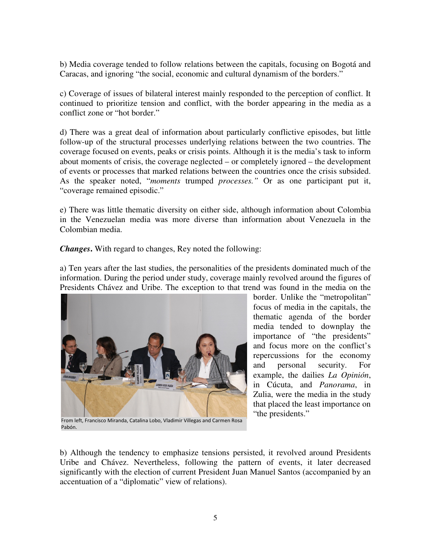b) Media coverage tended to follow relations between the capitals, focusing on Bogotá and Caracas, and ignoring "the social, economic and cultural dynamism of the borders."

c) Coverage of issues of bilateral interest mainly responded to the perception of conflict. It continued to prioritize tension and conflict, with the border appearing in the media as a conflict zone or "hot border."

d) There was a great deal of information about particularly conflictive episodes, but little follow-up of the structural processes underlying relations between the two countries. The coverage focused on events, peaks or crisis points. Although it is the media's task to inform about moments of crisis, the coverage neglected – or completely ignored – the development of events or processes that marked relations between the countries once the crisis subsided. As the speaker noted, "*moments* trumped *processes."* Or as one participant put it, "coverage remained episodic."

e) There was little thematic diversity on either side, although information about Colombia in the Venezuelan media was more diverse than information about Venezuela in the Colombian media.

*Changes***.** With regard to changes, Rey noted the following:

a) Ten years after the last studies, the personalities of the presidents dominated much of the information. During the period under study, coverage mainly revolved around the figures of Presidents Chávez and Uribe. The exception to that trend was found in the media on the



From left, Francisco Miranda, Catalina Lobo, Vladimir Villegas and Carmen Rosa Pabón.

border. Unlike the "metropolitan" focus of media in the capitals, the thematic agenda of the border media tended to downplay the importance of "the presidents" and focus more on the conflict's repercussions for the economy and personal security. For example, the dailies *La Opinión*, in Cúcuta, and *Panorama*, in Zulia, were the media in the study that placed the least importance on "the presidents."

b) Although the tendency to emphasize tensions persisted, it revolved around Presidents Uribe and Chávez. Nevertheless, following the pattern of events, it later decreased significantly with the election of current President Juan Manuel Santos (accompanied by an accentuation of a "diplomatic" view of relations).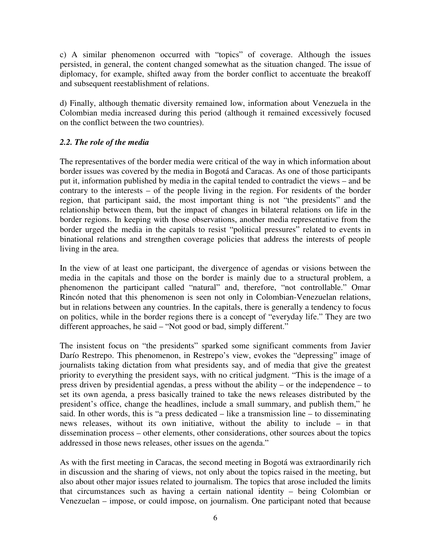c) A similar phenomenon occurred with "topics" of coverage. Although the issues persisted, in general, the content changed somewhat as the situation changed. The issue of diplomacy, for example, shifted away from the border conflict to accentuate the breakoff and subsequent reestablishment of relations.

d) Finally, although thematic diversity remained low, information about Venezuela in the Colombian media increased during this period (although it remained excessively focused on the conflict between the two countries).

## *2.2. The role of the media*

The representatives of the border media were critical of the way in which information about border issues was covered by the media in Bogotá and Caracas. As one of those participants put it, information published by media in the capital tended to contradict the views – and be contrary to the interests – of the people living in the region. For residents of the border region, that participant said, the most important thing is not "the presidents" and the relationship between them, but the impact of changes in bilateral relations on life in the border regions. In keeping with those observations, another media representative from the border urged the media in the capitals to resist "political pressures" related to events in binational relations and strengthen coverage policies that address the interests of people living in the area.

In the view of at least one participant, the divergence of agendas or visions between the media in the capitals and those on the border is mainly due to a structural problem, a phenomenon the participant called "natural" and, therefore, "not controllable." Omar Rincón noted that this phenomenon is seen not only in Colombian-Venezuelan relations, but in relations between any countries. In the capitals, there is generally a tendency to focus on politics, while in the border regions there is a concept of "everyday life." They are two different approaches, he said – "Not good or bad, simply different."

The insistent focus on "the presidents" sparked some significant comments from Javier Darío Restrepo. This phenomenon, in Restrepo's view, evokes the "depressing" image of journalists taking dictation from what presidents say, and of media that give the greatest priority to everything the president says, with no critical judgment. "This is the image of a press driven by presidential agendas, a press without the ability – or the independence – to set its own agenda, a press basically trained to take the news releases distributed by the president's office, change the headlines, include a small summary, and publish them," he said. In other words, this is "a press dedicated – like a transmission line – to disseminating news releases, without its own initiative, without the ability to include – in that dissemination process – other elements, other considerations, other sources about the topics addressed in those news releases, other issues on the agenda."

As with the first meeting in Caracas, the second meeting in Bogotá was extraordinarily rich in discussion and the sharing of views, not only about the topics raised in the meeting, but also about other major issues related to journalism. The topics that arose included the limits that circumstances such as having a certain national identity – being Colombian or Venezuelan – impose, or could impose, on journalism. One participant noted that because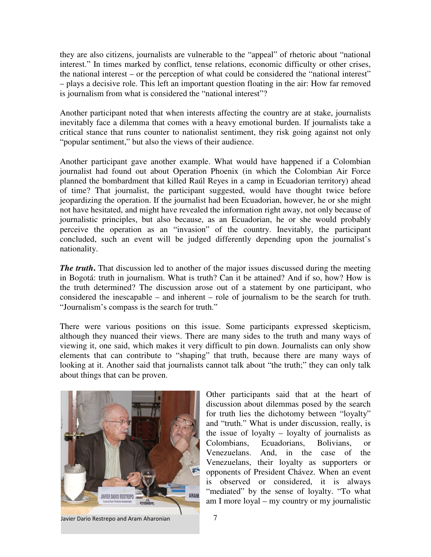they are also citizens, journalists are vulnerable to the "appeal" of rhetoric about "national interest." In times marked by conflict, tense relations, economic difficulty or other crises, the national interest – or the perception of what could be considered the "national interest" – plays a decisive role. This left an important question floating in the air: How far removed is journalism from what is considered the "national interest"?

Another participant noted that when interests affecting the country are at stake, journalists inevitably face a dilemma that comes with a heavy emotional burden. If journalists take a critical stance that runs counter to nationalist sentiment, they risk going against not only "popular sentiment," but also the views of their audience.

Another participant gave another example. What would have happened if a Colombian journalist had found out about Operation Phoenix (in which the Colombian Air Force planned the bombardment that killed Raúl Reyes in a camp in Ecuadorian territory) ahead of time? That journalist, the participant suggested, would have thought twice before jeopardizing the operation. If the journalist had been Ecuadorian, however, he or she might not have hesitated, and might have revealed the information right away, not only because of journalistic principles, but also because, as an Ecuadorian, he or she would probably perceive the operation as an "invasion" of the country. Inevitably, the participant concluded, such an event will be judged differently depending upon the journalist's nationality.

*The truth*. That discussion led to another of the major issues discussed during the meeting in Bogotá: truth in journalism. What is truth? Can it be attained? And if so, how? How is the truth determined? The discussion arose out of a statement by one participant, who considered the inescapable – and inherent – role of journalism to be the search for truth. "Journalism's compass is the search for truth."

There were various positions on this issue. Some participants expressed skepticism, although they nuanced their views. There are many sides to the truth and many ways of viewing it, one said, which makes it very difficult to pin down. Journalists can only show elements that can contribute to "shaping" that truth, because there are many ways of looking at it. Another said that journalists cannot talk about "the truth;" they can only talk about things that can be proven.



Other participants said that at the heart of discussion about dilemmas posed by the search for truth lies the dichotomy between "loyalty" and "truth." What is under discussion, really, is the issue of loyalty – loyalty of journalists as Colombians, Ecuadorians, Bolivians, or Venezuelans. And, in the case of the Venezuelans, their loyalty as supporters or opponents of President Chávez. When an event is observed or considered, it is always "mediated" by the sense of loyalty. "To what am I more loyal – my country or my journalistic

Javier Dario Restrepo and Aram Aharonian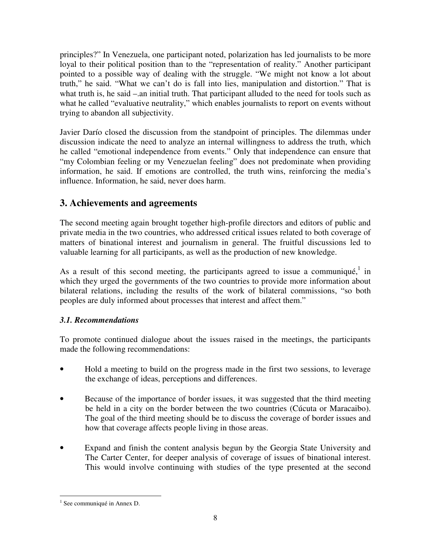principles?" In Venezuela, one participant noted, polarization has led journalists to be more loyal to their political position than to the "representation of reality." Another participant pointed to a possible way of dealing with the struggle. "We might not know a lot about truth," he said. "What we can't do is fall into lies, manipulation and distortion." That is what truth is, he said –.an initial truth. That participant alluded to the need for tools such as what he called "evaluative neutrality," which enables journalists to report on events without trying to abandon all subjectivity.

Javier Darío closed the discussion from the standpoint of principles. The dilemmas under discussion indicate the need to analyze an internal willingness to address the truth, which he called "emotional independence from events." Only that independence can ensure that "my Colombian feeling or my Venezuelan feeling" does not predominate when providing information, he said. If emotions are controlled, the truth wins, reinforcing the media's influence. Information, he said, never does harm.

## **3. Achievements and agreements**

The second meeting again brought together high-profile directors and editors of public and private media in the two countries, who addressed critical issues related to both coverage of matters of binational interest and journalism in general. The fruitful discussions led to valuable learning for all participants, as well as the production of new knowledge.

As a result of this second meeting, the participants agreed to issue a communiqué, in which they urged the governments of the two countries to provide more information about bilateral relations, including the results of the work of bilateral commissions, "so both peoples are duly informed about processes that interest and affect them."

## *3.1. Recommendations*

To promote continued dialogue about the issues raised in the meetings, the participants made the following recommendations:

- Hold a meeting to build on the progress made in the first two sessions, to leverage the exchange of ideas, perceptions and differences.
- Because of the importance of border issues, it was suggested that the third meeting be held in a city on the border between the two countries (Cúcuta or Maracaibo). The goal of the third meeting should be to discuss the coverage of border issues and how that coverage affects people living in those areas.
- Expand and finish the content analysis begun by the Georgia State University and The Carter Center, for deeper analysis of coverage of issues of binational interest. This would involve continuing with studies of the type presented at the second

 $\overline{a}$ 

<sup>&</sup>lt;sup>1</sup> See communiqué in Annex D.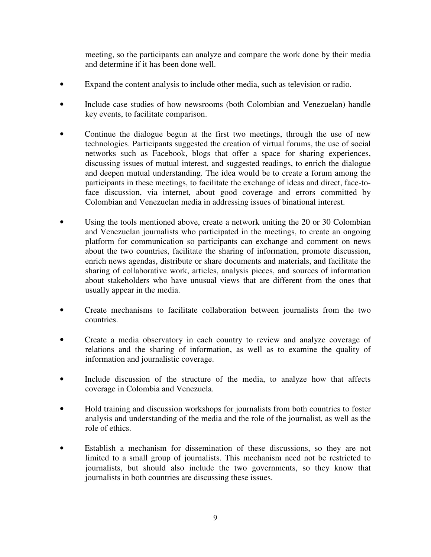meeting, so the participants can analyze and compare the work done by their media and determine if it has been done well.

- Expand the content analysis to include other media, such as television or radio.
- Include case studies of how newsrooms (both Colombian and Venezuelan) handle key events, to facilitate comparison.
- Continue the dialogue begun at the first two meetings, through the use of new technologies. Participants suggested the creation of virtual forums, the use of social networks such as Facebook, blogs that offer a space for sharing experiences, discussing issues of mutual interest, and suggested readings, to enrich the dialogue and deepen mutual understanding. The idea would be to create a forum among the participants in these meetings, to facilitate the exchange of ideas and direct, face-toface discussion, via internet, about good coverage and errors committed by Colombian and Venezuelan media in addressing issues of binational interest.
- Using the tools mentioned above, create a network uniting the 20 or 30 Colombian and Venezuelan journalists who participated in the meetings, to create an ongoing platform for communication so participants can exchange and comment on news about the two countries, facilitate the sharing of information, promote discussion, enrich news agendas, distribute or share documents and materials, and facilitate the sharing of collaborative work, articles, analysis pieces, and sources of information about stakeholders who have unusual views that are different from the ones that usually appear in the media.
- Create mechanisms to facilitate collaboration between journalists from the two countries.
- Create a media observatory in each country to review and analyze coverage of relations and the sharing of information, as well as to examine the quality of information and journalistic coverage.
- Include discussion of the structure of the media, to analyze how that affects coverage in Colombia and Venezuela.
- Hold training and discussion workshops for journalists from both countries to foster analysis and understanding of the media and the role of the journalist, as well as the role of ethics.
- Establish a mechanism for dissemination of these discussions, so they are not limited to a small group of journalists. This mechanism need not be restricted to journalists, but should also include the two governments, so they know that journalists in both countries are discussing these issues.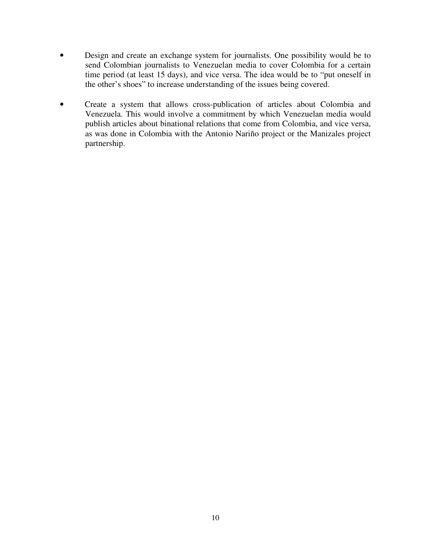- Design and create an exchange system for journalists. One possibility would be to send Colombian journalists to Venezuelan media to cover Colombia for a certain time period (at least 15 days), and vice versa. The idea would be to "put oneself in the other's shoes" to increase understanding of the issues being covered.
- Create a system that allows cross-publication of articles about Colombia and Venezuela. This would involve a commitment by which Venezuelan media would publish articles about binational relations that come from Colombia, and vice versa, as was done in Colombia with the Antonio Nariño project or the Manizales project partnership.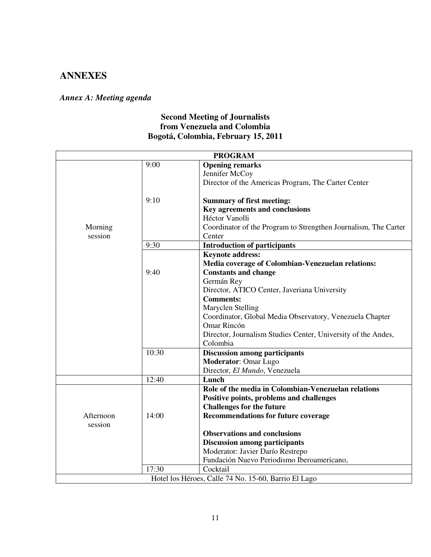## **ANNEXES**

## *Annex A: Meeting agenda*

## **Second Meeting of Journalists from Venezuela and Colombia Bogotá, Colombia, February 15, 2011**

|           |       | <b>PROGRAM</b>                                                  |  |
|-----------|-------|-----------------------------------------------------------------|--|
|           | 9:00  | <b>Opening remarks</b>                                          |  |
|           |       | Jennifer McCoy                                                  |  |
|           |       | Director of the Americas Program, The Carter Center             |  |
|           | 9:10  | <b>Summary of first meeting:</b>                                |  |
|           |       | Key agreements and conclusions                                  |  |
|           |       | Héctor Vanolli                                                  |  |
| Morning   |       | Coordinator of the Program to Strengthen Journalism, The Carter |  |
| session   |       | Center                                                          |  |
|           | 9:30  | <b>Introduction of participants</b>                             |  |
|           |       | <b>Keynote address:</b>                                         |  |
|           |       | Media coverage of Colombian-Venezuelan relations:               |  |
|           | 9:40  | <b>Constants and change</b>                                     |  |
|           |       | Germán Rey                                                      |  |
|           |       | Director, ATICO Center, Javeriana University                    |  |
|           |       | <b>Comments:</b>                                                |  |
|           |       | Maryclen Stelling                                               |  |
|           |       | Coordinator, Global Media Observatory, Venezuela Chapter        |  |
|           |       | Omar Rincón                                                     |  |
|           |       | Director, Journalism Studies Center, University of the Andes,   |  |
|           |       | Colombia                                                        |  |
|           | 10:30 | <b>Discussion among participants</b>                            |  |
|           |       | <b>Moderator: Omar Lugo</b>                                     |  |
|           |       | Director, El Mundo, Venezuela                                   |  |
|           | 12:40 | Lunch                                                           |  |
|           |       | Role of the media in Colombian-Venezuelan relations             |  |
|           |       | Positive points, problems and challenges                        |  |
|           |       | <b>Challenges for the future</b>                                |  |
| Afternoon | 14:00 | <b>Recommendations for future coverage</b>                      |  |
| session   |       |                                                                 |  |
|           |       | <b>Observations and conclusions</b>                             |  |
|           |       | <b>Discussion among participants</b>                            |  |
|           |       | Moderator: Javier Darío Restrepo                                |  |
|           |       | Fundación Nuevo Periodismo Iberoamericano,                      |  |
|           | 17:30 | Cocktail                                                        |  |
|           |       | Hotel los Héroes, Calle 74 No. 15-60, Barrio El Lago            |  |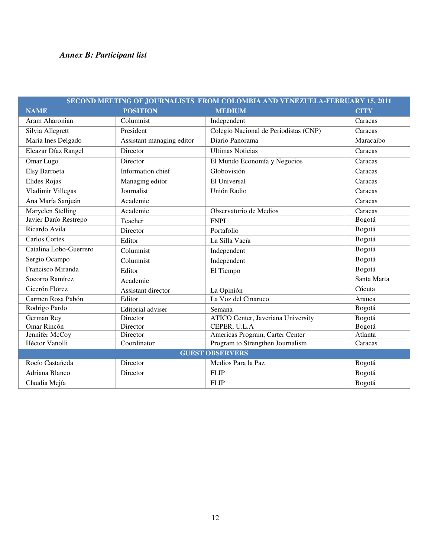## *Annex B: Participant list*

| SECOND MEETING OF JOURNALISTS FROM COLOMBIA AND VENEZUELA-FEBRUARY 15, 2011 |                           |                                           |             |  |  |  |
|-----------------------------------------------------------------------------|---------------------------|-------------------------------------------|-------------|--|--|--|
| <b>NAME</b>                                                                 | <b>POSITION</b>           | <b>MEDIUM</b>                             | <b>CITY</b> |  |  |  |
| Aram Aharonian                                                              | Columnist                 | Independent                               | Caracas     |  |  |  |
| Silvia Allegrett                                                            | President                 | Colegio Nacional de Periodistas (CNP)     | Caracas     |  |  |  |
| Maria Ines Delgado                                                          | Assistant managing editor | Diario Panorama                           | Maracaibo   |  |  |  |
| Eleazar Díaz Rangel                                                         | Director                  | <b>Ultimas Noticias</b>                   | Caracas     |  |  |  |
| Omar Lugo                                                                   | Director                  | El Mundo Economía y Negocios              | Caracas     |  |  |  |
| Elsy Barroeta                                                               | Information chief         | Globovisión                               | Caracas     |  |  |  |
| Elides Rojas                                                                | Managing editor           | El Universal                              | Caracas     |  |  |  |
| Vladimir Villegas                                                           | Journalist                | Unión Radio                               | Caracas     |  |  |  |
| Ana María Sanjuán                                                           | Academic                  |                                           | Caracas     |  |  |  |
| Maryclen Stelling                                                           | Academic                  | Observatorio de Medios                    | Caracas     |  |  |  |
| Javier Darío Restrepo                                                       | Teacher                   | <b>FNPI</b>                               | Bogotá      |  |  |  |
| Ricardo Avila                                                               | Director                  | Portafolio                                | Bogotá      |  |  |  |
| <b>Carlos Cortes</b>                                                        | Editor                    | La Silla Vacía                            | Bogotá      |  |  |  |
| Catalina Lobo-Guerrero                                                      | Columnist                 | Independent                               | Bogotá      |  |  |  |
| Sergio Ocampo                                                               | Columnist                 | Independent                               | Bogotá      |  |  |  |
| Francisco Miranda                                                           | Editor                    | El Tiempo                                 | Bogotá      |  |  |  |
| Socorro Ramírez                                                             | Academic                  |                                           | Santa Marta |  |  |  |
| Cicerón Flórez                                                              | Assistant director        | La Opinión                                | Cúcuta      |  |  |  |
| Carmen Rosa Pabón                                                           | Editor                    | La Voz del Cinaruco                       | Arauca      |  |  |  |
| Rodrigo Pardo                                                               | Editorial adviser         | Semana                                    | Bogotá      |  |  |  |
| Germán Rey                                                                  | Director                  | <b>ATICO</b> Center, Javeriana University | Bogotá      |  |  |  |
| Omar Rincón                                                                 | Director                  | CEPER, U.L.A                              | Bogotá      |  |  |  |
| Jennifer McCoy                                                              | Director                  | Americas Program, Carter Center           | Atlanta     |  |  |  |
| Héctor Vanolli                                                              | Coordinator               | Program to Strengthen Journalism          | Caracas     |  |  |  |
| <b>GUEST OBSERVERS</b>                                                      |                           |                                           |             |  |  |  |
| Rocío Castañeda                                                             | Director                  | Medios Para la Paz                        | Bogotá      |  |  |  |
| Adriana Blanco                                                              | Director                  | <b>FLIP</b>                               | Bogotá      |  |  |  |
| Claudia Mejía                                                               |                           | <b>FLIP</b>                               | Bogotá      |  |  |  |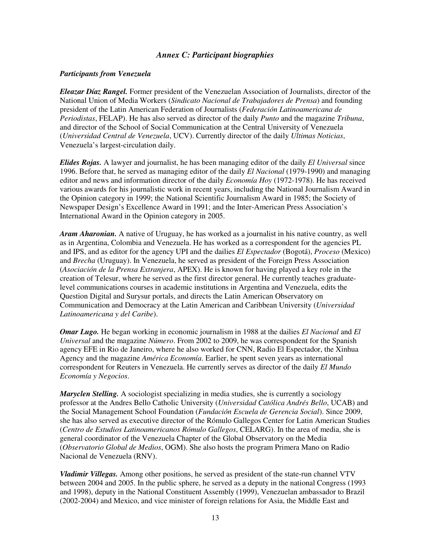#### *Annex C: Participant biographies*

#### *Participants from Venezuela*

*Eleazar Díaz Rangel.* Former president of the Venezuelan Association of Journalists, director of the National Union of Media Workers (*Sindicato Nacional de Trabajadores de Prensa*) and founding president of the Latin American Federation of Journalists (*Federación Latinoamericana de Periodistas*, FELAP). He has also served as director of the daily *Punto* and the magazine *Tribuna*, and director of the School of Social Communication at the Central University of Venezuela (*Universidad Central de Venezuela*, UCV). Currently director of the daily *Ultimas Noticias*, Venezuela's largest-circulation daily.

*Elides Rojas.* A lawyer and journalist, he has been managing editor of the daily *El Universal* since 1996. Before that, he served as managing editor of the daily *El Nacional* (1979-1990) and managing editor and news and information director of the daily *Economía Hoy* (1972-1978). He has received various awards for his journalistic work in recent years, including the National Journalism Award in the Opinion category in 1999; the National Scientific Journalism Award in 1985; the Society of Newspaper Design's Excellence Award in 1991; and the Inter-American Press Association's International Award in the Opinion category in 2005.

*Aram Aharonian.* A native of Uruguay, he has worked as a journalist in his native country, as well as in Argentina, Colombia and Venezuela. He has worked as a correspondent for the agencies PL and IPS, and as editor for the agency UPI and the dailies *El Espectador* (Bogotá), *Proceso* (Mexico) and *Brecha* (Uruguay). In Venezuela, he served as president of the Foreign Press Association (*Asociación de la Prensa Extranjera*, APEX). He is known for having played a key role in the creation of Telesur, where he served as the first director general. He currently teaches graduatelevel communications courses in academic institutions in Argentina and Venezuela, edits the Question Digital and Surysur portals, and directs the Latin American Observatory on Communication and Democracy at the Latin American and Caribbean University (*Universidad Latinoamericana y del Caribe*).

*Omar Lugo.* He began working in economic journalism in 1988 at the dailies *El Nacional* and *El Universal* and the magazine *Número*. From 2002 to 2009, he was correspondent for the Spanish agency EFE in Rio de Janeiro, where he also worked for CNN, Radio El Espectador, the Xinhua Agency and the magazine *América Economía*. Earlier, he spent seven years as international correspondent for Reuters in Venezuela. He currently serves as director of the daily *El Mundo Economía y Negocios*.

*Maryclen Stelling.* A sociologist specializing in media studies, she is currently a sociology professor at the Andres Bello Catholic University (*Universidad Católica Andrés Bello*, UCAB) and the Social Management School Foundation (*Fundación Escuela de Gerencia Social*). Since 2009, she has also served as executive director of the Rómulo Gallegos Center for Latin American Studies (*Centro de Estudios Latinoamericanos Rómulo Gallegos*, CELARG). In the area of media, she is general coordinator of the Venezuela Chapter of the Global Observatory on the Media (*Observatorio Global de Medios*, OGM). She also hosts the program Primera Mano on Radio Nacional de Venezuela (RNV).

*Vladimir Villegas.* Among other positions, he served as president of the state-run channel VTV between 2004 and 2005. In the public sphere, he served as a deputy in the national Congress (1993 and 1998), deputy in the National Constituent Assembly (1999), Venezuelan ambassador to Brazil (2002-2004) and Mexico, and vice minister of foreign relations for Asia, the Middle East and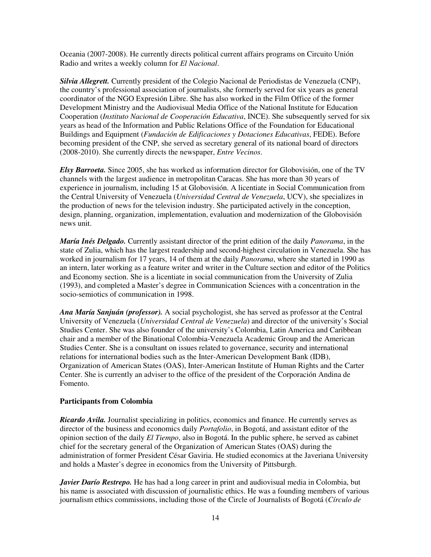Oceania (2007-2008). He currently directs political current affairs programs on Circuito Unión Radio and writes a weekly column for *El Nacional*.

*Silvia Allegrett.* Currently president of the Colegio Nacional de Periodistas de Venezuela (CNP), the country's professional association of journalists, she formerly served for six years as general coordinator of the NGO Expresión Libre. She has also worked in the Film Office of the former Development Ministry and the Audiovisual Media Office of the National Institute for Education Cooperation (*Instituto Nacional de Cooperación Educativa*, INCE). She subsequently served for six years as head of the Information and Public Relations Office of the Foundation for Educational Buildings and Equipment (*Fundación de Edificaciones y Dotaciones Educativas*, FEDE). Before becoming president of the CNP, she served as secretary general of its national board of directors (2008-2010). She currently directs the newspaper, *Entre Vecinos*.

*Elsy Barroeta.* Since 2005, she has worked as information director for Globovisión, one of the TV channels with the largest audience in metropolitan Caracas. She has more than 30 years of experience in journalism, including 15 at Globovisión. A licentiate in Social Communication from the Central University of Venezuela (*Universidad Central de Venezuela*, UCV), she specializes in the production of news for the television industry. She participated actively in the conception, design, planning, organization, implementation, evaluation and modernization of the Globovisión news unit.

*María Inés Delgado.* Currently assistant director of the print edition of the daily *Panorama*, in the state of Zulia, which has the largest readership and second-highest circulation in Venezuela. She has worked in journalism for 17 years, 14 of them at the daily *Panorama*, where she started in 1990 as an intern, later working as a feature writer and writer in the Culture section and editor of the Politics and Economy section. She is a licentiate in social communication from the University of Zulia (1993), and completed a Master's degree in Communication Sciences with a concentration in the socio-semiotics of communication in 1998.

*Ana María Sanjuán (professor).* A social psychologist, she has served as professor at the Central University of Venezuela (*Universidad Central de Venezuela*) and director of the university's Social Studies Center. She was also founder of the university's Colombia, Latin America and Caribbean chair and a member of the Binational Colombia-Venezuela Academic Group and the American Studies Center. She is a consultant on issues related to governance, security and international relations for international bodies such as the Inter-American Development Bank (IDB), Organization of American States (OAS), Inter-American Institute of Human Rights and the Carter Center. She is currently an adviser to the office of the president of the Corporación Andina de Fomento.

#### **Participants from Colombia**

*Ricardo Avila.* Journalist specializing in politics, economics and finance. He currently serves as director of the business and economics daily *Portafolio*, in Bogotá, and assistant editor of the opinion section of the daily *El Tiempo*, also in Bogotá. In the public sphere, he served as cabinet chief for the secretary general of the Organization of American States (OAS) during the administration of former President César Gaviria. He studied economics at the Javeriana University and holds a Master's degree in economics from the University of Pittsburgh.

*Javier Darío Restrepo.* He has had a long career in print and audiovisual media in Colombia, but his name is associated with discussion of journalistic ethics. He was a founding members of various journalism ethics commissions, including those of the Circle of Journalists of Bogotá (*Círculo de*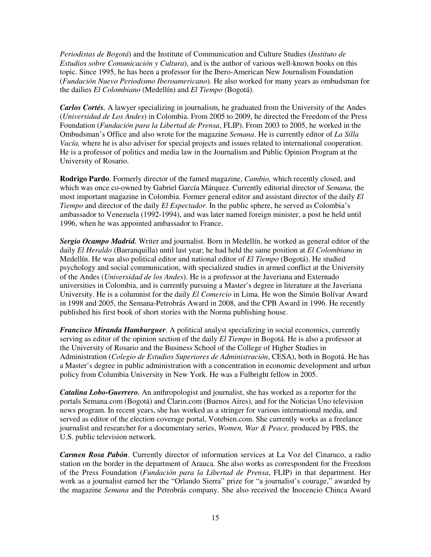*Periodistas de Bogotá*) and the Institute of Communication and Culture Studies (*Instituto de Estudios sobre Comunicación y Cultura*), and is the author of various well-known books on this topic. Since 1995, he has been a professor for the Ibero-American New Journalism Foundation (*Fundación Nuevo Periodismo Iberoamericano*). He also worked for many years as ombudsman for the dailies *El Colombiano* (Medellín) and *El Tiempo* (Bogotá).

*Carlos Cortés.* A lawyer specializing in journalism, he graduated from the University of the Andes (*Universidad de Los Andes*) in Colombia. From 2005 to 2009, he directed the Freedom of the Press Foundation (*Fundación para la Libertad de Prensa*, FLIP). From 2003 to 2005, he worked in the Ombudsman's Office and also wrote for the magazine *Semana*. He is currently editor of *La Silla Vacía,* where he is also adviser for special projects and issues related to international cooperation. He is a professor of politics and media law in the Journalism and Public Opinion Program at the University of Rosario.

**Rodrigo Pardo**. Formerly director of the famed magazine, *Cambio,* which recently closed, and which was once co-owned by Gabriel García Márquez. Currently editorial director of *Semana,* the most important magazine in Colombia. Former general editor and assistant director of the daily *El Tiempo* and director of the daily *El Espectador*. In the public sphere, he served as Colombia's ambassador to Venezuela (1992-1994), and was later named foreign minister, a post he held until 1996, when he was appointed ambassador to France.

*Sergio Ocampo Madrid.* Writer and journalist. Born in Medellín, he worked as general editor of the daily *El Heraldo* (Barranquilla) until last year; he had held the same position at *El Colombiano* in Medellín. He was also political editor and national editor of *El Tiempo* (Bogotá). He studied psychology and social communication, with specialized studies in armed conflict at the University of the Andes (*Universidad de los Andes*). He is a professor at the Javeriana and Externado universities in Colombia, and is currently pursuing a Master's degree in literature at the Javeriana University. He is a columnist for the daily *El Comercio* in Lima. He won the Simón Bolívar Award in 1998 and 2005, the Semana-Petrobrás Award in 2008, and the CPB Award in 1996. He recently published his first book of short stories with the Norma publishing house.

*Francisco Miranda Hamburguer*. A political analyst specializing in social economics, currently serving as editor of the opinion section of the daily *El Tiempo* in Bogotá. He is also a professor at the University of Rosario and the Business School of the College of Higher Studies in Administration (*Colegio de Estudios Superiores de Administración*, CESA), both in Bogotá. He has a Master's degree in public administration with a concentration in economic development and urban policy from Columbia University in New York. He was a Fulbright fellow in 2005.

*Catalina Lobo-Guerrero.* An anthropologist and journalist, she has worked as a reporter for the portals Semana.com (Bogotá) and Clarin.com (Buenos Aires), and for the Noticias Uno television news program. In recent years, she has worked as a stringer for various international media, and served as editor of the election coverage portal, Votebien.com. She currently works as a freelance journalist and researcher for a documentary series, *Women, War & Peace,* produced by PBS, the U.S. public television network.

*Carmen Rosa Pabón*. Currently director of information services at La Voz del Cinaruco, a radio station on the border in the department of Arauca. She also works as correspondent for the Freedom of the Press Foundation (*Fundación para la Libertad de Prensa*, FLIP) in that department. Her work as a journalist earned her the "Orlando Sierra" prize for "a journalist's courage," awarded by the magazine *Semana* and the Petrobrás company. She also received the Inocencio Chinca Award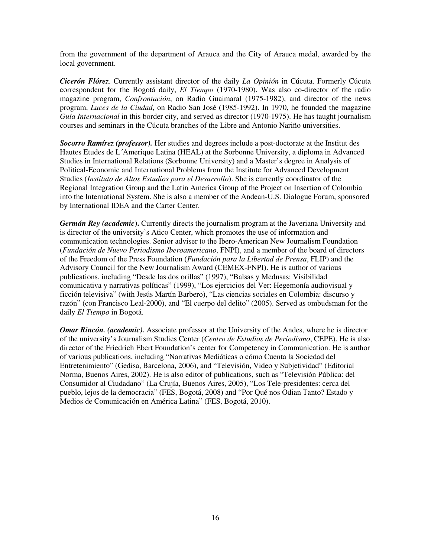from the government of the department of Arauca and the City of Arauca medal, awarded by the local government.

*Cicerón Flórez*. Currently assistant director of the daily *La Opinión* in Cúcuta. Formerly Cúcuta correspondent for the Bogotá daily, *El Tiempo* (1970-1980). Was also co-director of the radio magazine program, *Confrontación*, on Radio Guaimaral (1975-1982), and director of the news program, *Luces de la Ciudad*, on Radio San José (1985-1992). In 1970, he founded the magazine *Guía Internacional* in this border city, and served as director (1970-1975). He has taught journalism courses and seminars in the Cúcuta branches of the Libre and Antonio Nariño universities.

*Socorro Ramírez (professor).* Her studies and degrees include a post-doctorate at the Institut des Hautes Etudes de L´Amerique Latina (HEAL) at the Sorbonne University, a diploma in Advanced Studies in International Relations (Sorbonne University) and a Master's degree in Analysis of Political-Economic and International Problems from the Institute for Advanced Development Studies (*Instituto de Altos Estudios para el Desarrollo*). She is currently coordinator of the Regional Integration Group and the Latin America Group of the Project on Insertion of Colombia into the International System. She is also a member of the Andean-U.S. Dialogue Forum, sponsored by International IDEA and the Carter Center.

*Germán Rey (academic***).** Currently directs the journalism program at the Javeriana University and is director of the university's Atico Center, which promotes the use of information and communication technologies. Senior adviser to the Ibero-American New Journalism Foundation (*Fundación de Nuevo Periodismo Iberoamericano*, FNPI), and a member of the board of directors of the Freedom of the Press Foundation (*Fundación para la Libertad de Prensa*, FLIP) and the Advisory Council for the New Journalism Award (CEMEX-FNPI). He is author of various publications, including "Desde las dos orillas" (1997), "Balsas y Medusas: Visibilidad comunicativa y narrativas políticas" (1999), "Los ejercicios del Ver: Hegemonía audiovisual y ficción televisiva" (with Jesús Martín Barbero), "Las ciencias sociales en Colombia: discurso y razón" (con Francisco Leal-2000), and "El cuerpo del delito" (2005). Served as ombudsman for the daily *El Tiempo* in Bogotá.

*Omar Rincón. (academic).* Associate professor at the University of the Andes, where he is director of the university's Journalism Studies Center (*Centro de Estudios de Periodismo*, CEPE). He is also director of the Friedrich Ebert Foundation's center for Competency in Communication. He is author of various publications, including "Narrativas Mediáticas o cómo Cuenta la Sociedad del Entretenimiento" (Gedisa, Barcelona, 2006), and "Televisión, Video y Subjetividad" (Editorial Norma, Buenos Aires, 2002). He is also editor of publications, such as "Televisión Pública: del Consumidor al Ciudadano" (La Crujía, Buenos Aires, 2005), "Los Tele-presidentes: cerca del pueblo, lejos de la democracia" (FES, Bogotá, 2008) and "Por Qué nos Odian Tanto? Estado y Medios de Comunicación en América Latina" (FES, Bogotá, 2010).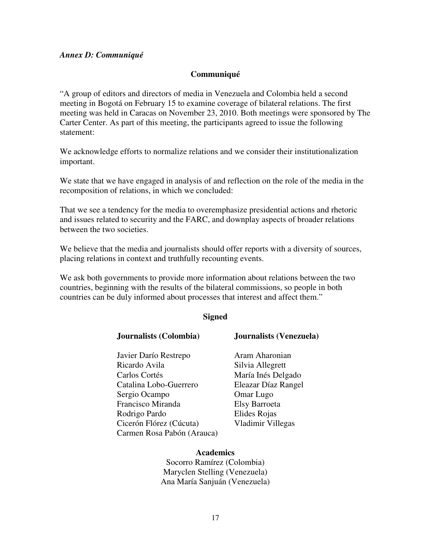#### *Annex D: Communiqué*

#### **Communiqué**

"A group of editors and directors of media in Venezuela and Colombia held a second meeting in Bogotá on February 15 to examine coverage of bilateral relations. The first meeting was held in Caracas on November 23, 2010. Both meetings were sponsored by The Carter Center. As part of this meeting, the participants agreed to issue the following statement:

We acknowledge efforts to normalize relations and we consider their institutionalization important.

We state that we have engaged in analysis of and reflection on the role of the media in the recomposition of relations, in which we concluded:

That we see a tendency for the media to overemphasize presidential actions and rhetoric and issues related to security and the FARC, and downplay aspects of broader relations between the two societies.

We believe that the media and journalists should offer reports with a diversity of sources, placing relations in context and truthfully recounting events.

We ask both governments to provide more information about relations between the two countries, beginning with the results of the bilateral commissions, so people in both countries can be duly informed about processes that interest and affect them."

#### **Signed**

Javier Darío Restrepo Aram Aharonian Ricardo Avila Silvia Allegrett Carlos Cortés María Inés Delgado Catalina Lobo-Guerrero Eleazar Díaz Rangel Sergio Ocampo **Omar Lugo** Francisco Miranda Elsy Barroeta Rodrigo Pardo Elides Rojas Cicerón Flórez (Cúcuta) Vladimir Villegas Carmen Rosa Pabón (Arauca)

#### **Journalists (Colombia) Journalists (Venezuela)**

**Academics**  Socorro Ramírez (Colombia) Maryclen Stelling (Venezuela) Ana María Sanjuán (Venezuela)